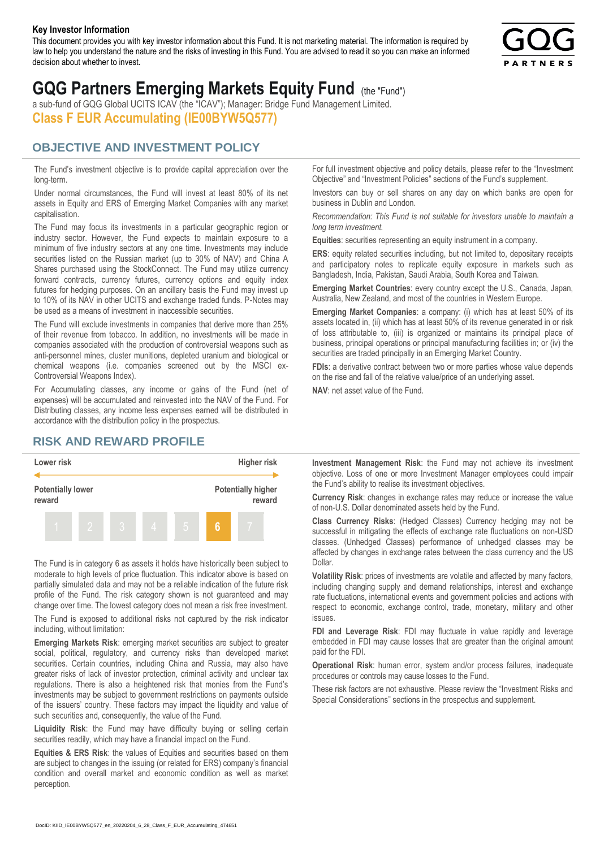#### **Key Investor Information**

This document provides you with key investor information about this Fund. It is not marketing material. The information is required by law to help you understand the nature and the risks of investing in this Fund. You are advised to read it so you can make an informed decision about whether to invest.



# **GQG Partners Emerging Markets Equity Fund** (the "Fund")

a sub-fund of GQG Global UCITS ICAV (the "ICAV"); Manager: Bridge Fund Management Limited. **Class F EUR Accumulating (IE00BYW5Q577)**

#### **OBJECTIVE AND INVESTMENT POLICY**

The Fund's investment objective is to provide capital appreciation over the long-term.

Under normal circumstances, the Fund will invest at least 80% of its net assets in Equity and ERS of Emerging Market Companies with any market capitalisation.

The Fund may focus its investments in a particular geographic region or industry sector. However, the Fund expects to maintain exposure to a minimum of five industry sectors at any one time. Investments may include securities listed on the Russian market (up to 30% of NAV) and China A Shares purchased using the StockConnect. The Fund may utilize currency forward contracts, currency futures, currency options and equity index futures for hedging purposes. On an ancillary basis the Fund may invest up to 10% of its NAV in other UCITS and exchange traded funds. P-Notes may be used as a means of investment in inaccessible securities.

The Fund will exclude investments in companies that derive more than 25% of their revenue from tobacco. In addition, no investments will be made in companies associated with the production of controversial weapons such as anti-personnel mines, cluster munitions, depleted uranium and biological or chemical weapons (i.e. companies screened out by the MSCI ex-Controversial Weapons Index).

For Accumulating classes, any income or gains of the Fund (net of expenses) will be accumulated and reinvested into the NAV of the Fund. For Distributing classes, any income less expenses earned will be distributed in accordance with the distribution policy in the prospectus.

### **RISK AND REWARD PROFILE**



The Fund is in category 6 as assets it holds have historically been subject to moderate to high levels of price fluctuation. This indicator above is based on partially simulated data and may not be a reliable indication of the future risk profile of the Fund. The risk category shown is not guaranteed and may change over time. The lowest category does not mean a risk free investment.

The Fund is exposed to additional risks not captured by the risk indicator including, without limitation:

**Emerging Markets Risk**: emerging market securities are subject to greater social, political, regulatory, and currency risks than developed market securities. Certain countries, including China and Russia, may also have greater risks of lack of investor protection, criminal activity and unclear tax regulations. There is also a heightened risk that monies from the Fund's investments may be subject to government restrictions on payments outside of the issuers' country. These factors may impact the liquidity and value of such securities and, consequently, the value of the Fund.

**Liquidity Risk**: the Fund may have difficulty buying or selling certain securities readily, which may have a financial impact on the Fund.

**Equities & ERS Risk**: the values of Equities and securities based on them are subject to changes in the issuing (or related for ERS) company's financial condition and overall market and economic condition as well as market perception.

For full investment objective and policy details, please refer to the "Investment Objective" and "Investment Policies" sections of the Fund's supplement.

Investors can buy or sell shares on any day on which banks are open for business in Dublin and London.

*Recommendation: This Fund is not suitable for investors unable to maintain a long term investment.*

**Equities**: securities representing an equity instrument in a company.

**ERS:** equity related securities including, but not limited to, depositary receipts and participatory notes to replicate equity exposure in markets such as Bangladesh, India, Pakistan, Saudi Arabia, South Korea and Taiwan.

**Emerging Market Countries**: every country except the U.S., Canada, Japan, Australia, New Zealand, and most of the countries in Western Europe.

**Emerging Market Companies**: a company: (i) which has at least 50% of its assets located in, (ii) which has at least 50% of its revenue generated in or risk of loss attributable to, (iii) is organized or maintains its principal place of business, principal operations or principal manufacturing facilities in; or (iv) the securities are traded principally in an Emerging Market Country.

**FDIs**: a derivative contract between two or more parties whose value depends on the rise and fall of the relative value/price of an underlying asset.

**NAV**: net asset value of the Fund.

**Investment Management Risk**: the Fund may not achieve its investment objective. Loss of one or more Investment Manager employees could impair the Fund's ability to realise its investment objectives.

**Currency Risk**: changes in exchange rates may reduce or increase the value of non-U.S. Dollar denominated assets held by the Fund.

**Class Currency Risks**: (Hedged Classes) Currency hedging may not be successful in mitigating the effects of exchange rate fluctuations on non-USD classes. (Unhedged Classes) performance of unhedged classes may be affected by changes in exchange rates between the class currency and the US Dollar.

**Volatility Risk**: prices of investments are volatile and affected by many factors, including changing supply and demand relationships, interest and exchange rate fluctuations, international events and government policies and actions with respect to economic, exchange control, trade, monetary, military and other issues.

**FDI and Leverage Risk**: FDI may fluctuate in value rapidly and leverage embedded in FDI may cause losses that are greater than the original amount paid for the FDI.

**Operational Risk**: human error, system and/or process failures, inadequate procedures or controls may cause losses to the Fund.

These risk factors are not exhaustive. Please review the "Investment Risks and Special Considerations" sections in the prospectus and supplement.